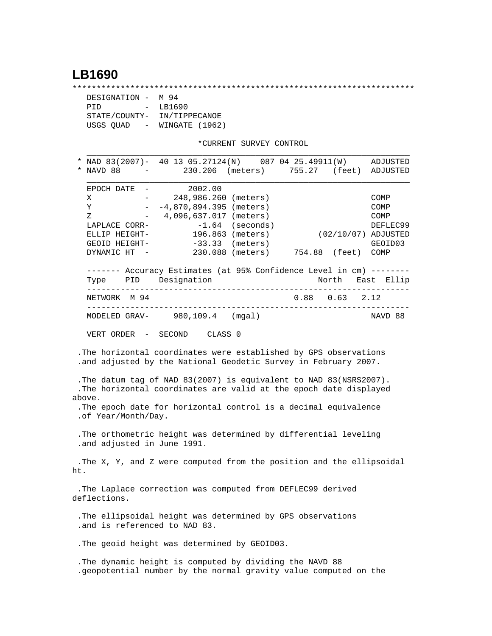## **LB1690**

\*\*\*\*\*\*\*\*\*\*\*\*\*\*\*\*\*\*\*\*\*\*\*\*\*\*\*\*\*\*\*\*\*\*\*\*\*\*\*\*\*\*\*\*\*\*\*\*\*\*\*\*\*\*\*\*\*\*\*\*\*\*\*\*\*\*\*\*\*\*\*

| DESIGNATION - |                | M 94           |
|---------------|----------------|----------------|
| PTD           | $\sim$         | LB1690         |
| STATE/COUNTY- |                | IN/TIPPECANOE  |
| USGS QUAD     | $\sim$ $ \sim$ | WINGATE (1962) |

\*CURRENT SURVEY CONTROL

| $\star$ |                                                                                                                  |                          |                       |         |                           | NAD 83(2007)- 40 13 05.27124(N) 087 04 25.49911(W) |                      | ADJUSTED              |
|---------|------------------------------------------------------------------------------------------------------------------|--------------------------|-----------------------|---------|---------------------------|----------------------------------------------------|----------------------|-----------------------|
|         | NAVD 88                                                                                                          |                          | market and controlled |         |                           | 230.206 (meters) 755.27 (feet)                     |                      | ADJUSTED              |
|         | EPOCH DATE                                                                                                       |                          |                       | 2002.00 |                           |                                                    |                      |                       |
|         | X                                                                                                                |                          |                       |         | 248,986.260 (meters)      |                                                    |                      | COMP                  |
|         | Y                                                                                                                | $\overline{\phantom{a}}$ |                       |         | $-4,870,894.395$ (meters) |                                                    |                      | COMP                  |
|         | 7.                                                                                                               | $\overline{\phantom{m}}$ |                       |         | 4,096,637.017 (meters)    |                                                    |                      | COMP                  |
|         | LAPLACE CORR-                                                                                                    |                          |                       |         | $-1.64$ (seconds)         |                                                    |                      | DEFLEC99              |
|         | ELLIP HEIGHT-                                                                                                    |                          |                       |         | 196.863 (meters)          |                                                    |                      | $(02/10/07)$ ADJUSTED |
|         | GEOID HEIGHT-                                                                                                    |                          |                       |         | $-33.33$ (meters)         |                                                    |                      | GEOID03               |
|         | DYNAMIC HT                                                                                                       |                          |                       |         |                           |                                                    |                      | COMP                  |
|         | ------ Accuracy Estimates (at 95% Confidence Level in cm) -------<br>Designation<br>North East Ellip<br>Type PID |                          |                       |         |                           |                                                    |                      |                       |
|         | NETWORK                                                                                                          | M 94                     |                       |         |                           |                                                    | $0.88$ $0.63$ $2.12$ |                       |
|         | MODELED GRAV-                                                                                                    |                          |                       |         | 980,109.4 (mgal)          |                                                    |                      | NAVD 88               |
|         |                                                                                                                  |                          |                       |         |                           |                                                    |                      |                       |

VERT ORDER - SECOND CLASS 0

 .The horizontal coordinates were established by GPS observations .and adjusted by the National Geodetic Survey in February 2007.

 .The datum tag of NAD 83(2007) is equivalent to NAD 83(NSRS2007). .The horizontal coordinates are valid at the epoch date displayed above.

 .The epoch date for horizontal control is a decimal equivalence .of Year/Month/Day.

 .The orthometric height was determined by differential leveling .and adjusted in June 1991.

 .The X, Y, and Z were computed from the position and the ellipsoidal ht.

 .The Laplace correction was computed from DEFLEC99 derived deflections.

 .The ellipsoidal height was determined by GPS observations .and is referenced to NAD 83.

.The geoid height was determined by GEOID03.

 .The dynamic height is computed by dividing the NAVD 88 .geopotential number by the normal gravity value computed on the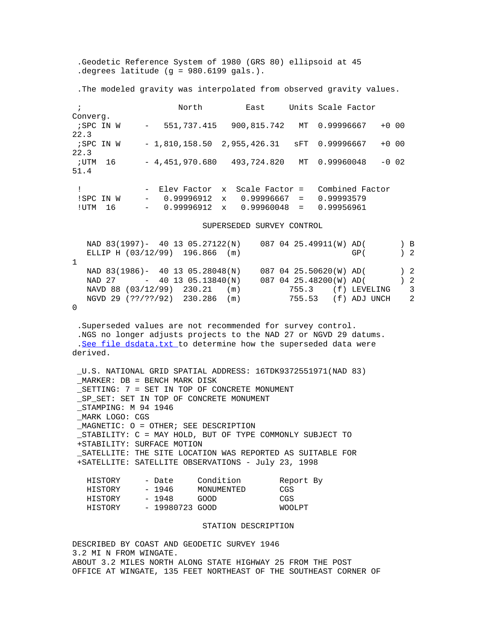.Geodetic Reference System of 1980 (GRS 80) ellipsoid at 45 .degrees latitude (g = 980.6199 gals.).

.The modeled gravity was interpolated from observed gravity values.

| $\mathcal{L}$                                                                                                                      | North                                          |      | East Units Scale Factor |                  |            |                     |                                   |  |  |
|------------------------------------------------------------------------------------------------------------------------------------|------------------------------------------------|------|-------------------------|------------------|------------|---------------------|-----------------------------------|--|--|
| Converg.                                                                                                                           |                                                |      |                         |                  |            |                     |                                   |  |  |
| SPC IN W - 551,737.415 900,815.742 MT<br>22.3                                                                                      |                                                |      |                         |                  | 0.99996667 |                     | $+0.00$                           |  |  |
| ; SPC IN W<br>22.3                                                                                                                 | $-1,810,158.50 \quad 2,955,426.31$ SFT         |      |                         |                  | 0.99996667 |                     | $+0.00$                           |  |  |
| 16<br>; UTM                                                                                                                        | $-4,451,970.680$ 493,724.820 MT                |      |                         |                  | 0.99960048 |                     | $-0$ 02                           |  |  |
| 51.4                                                                                                                               |                                                |      |                         |                  |            |                     |                                   |  |  |
| Ţ.                                                                                                                                 | - Elev Factor x Scale Factor = Combined Factor |      |                         |                  |            |                     |                                   |  |  |
| !SPC IN W                                                                                                                          | $-$ 0.99996912 x 0.99996667 = 0.99993579       |      |                         |                  |            |                     |                                   |  |  |
| !UTM 16                                                                                                                            | $-$ 0.99996912 x 0.99960048 = 0.99956961       |      |                         |                  |            |                     |                                   |  |  |
| SUPERSEDED SURVEY CONTROL                                                                                                          |                                                |      |                         |                  |            |                     |                                   |  |  |
| NAD 83(1997)- 40 13 05.27122(N) 087 04 25.49911(W) AD(                                                                             |                                                |      |                         |                  |            |                     | $)$ B                             |  |  |
| ELLIP H (03/12/99) 196.866 (m)                                                                                                     |                                                |      |                         |                  |            | GP (                | ) 2                               |  |  |
| $\mathbf{1}$                                                                                                                       |                                                |      |                         |                  |            |                     | ) 2                               |  |  |
| NAD 83(1986)- 40 13 05.28048(N) 087 04 25.50620(W) AD(<br>NAD 27 - 40 13 05.13840(N) 087 04 25.48200(W) AD(                        |                                                |      |                         |                  |            |                     | $\begin{pmatrix} 2 \end{pmatrix}$ |  |  |
| NAVD 88 (03/12/99) 230.21 (m)                                                                                                      |                                                |      |                         | 755.3            |            | (f) LEVELING        | $\overline{\mathbf{3}}$           |  |  |
| NGVD 29 (??/??/92) 230.286 (m)<br>0                                                                                                |                                                |      |                         |                  |            | 755.53 (f) ADJ UNCH | $\overline{2}$                    |  |  |
|                                                                                                                                    |                                                |      |                         |                  |            |                     |                                   |  |  |
| .Superseded values are not recommended for survey control.                                                                         |                                                |      |                         |                  |            |                     |                                   |  |  |
| .NGS no longer adjusts projects to the NAD 27 or NGVD 29 datums.<br>.See file dsdata.txt to determine how the superseded data were |                                                |      |                         |                  |            |                     |                                   |  |  |
| derived.                                                                                                                           |                                                |      |                         |                  |            |                     |                                   |  |  |
|                                                                                                                                    |                                                |      |                         |                  |            |                     |                                   |  |  |
| _U.S. NATIONAL GRID SPATIAL ADDRESS: 16TDK9372551971(NAD 83)                                                                       |                                                |      |                         |                  |            |                     |                                   |  |  |
| MARKER: DB = BENCH MARK DISK<br>_SETTING: 7 = SET IN TOP OF CONCRETE MONUMENT                                                      |                                                |      |                         |                  |            |                     |                                   |  |  |
| _SP_SET: SET IN TOP OF CONCRETE MONUMENT                                                                                           |                                                |      |                         |                  |            |                     |                                   |  |  |
| _STAMPING: M 94 1946                                                                                                               |                                                |      |                         |                  |            |                     |                                   |  |  |
| MARK LOGO: CGS                                                                                                                     |                                                |      |                         |                  |            |                     |                                   |  |  |
| $MAGNETIC: O = OTHER; SEE DESCRIPTION$                                                                                             |                                                |      |                         |                  |            |                     |                                   |  |  |
| _STABILITY: C = MAY HOLD, BUT OF TYPE COMMONLY SUBJECT TO<br>+STABILITY: SURFACE MOTION                                            |                                                |      |                         |                  |            |                     |                                   |  |  |
| _SATELLITE: THE SITE LOCATION WAS REPORTED AS SUITABLE FOR                                                                         |                                                |      |                         |                  |            |                     |                                   |  |  |
| +SATELLITE: SATELLITE OBSERVATIONS - July 23, 1998                                                                                 |                                                |      |                         |                  |            |                     |                                   |  |  |
|                                                                                                                                    |                                                |      |                         |                  |            |                     |                                   |  |  |
| HISTORY - Date Condition                                                                                                           |                                                |      |                         | Report By<br>CGS |            |                     |                                   |  |  |
| HISTORY - 1946 MONUMENTED<br>HISTORY - 1948                                                                                        |                                                | GOOD |                         | CGS              |            |                     |                                   |  |  |
| HISTORY - 19980723 GOOD                                                                                                            |                                                |      |                         | WOOLPT           |            |                     |                                   |  |  |
|                                                                                                                                    |                                                |      | STATION DESCRIPTION     |                  |            |                     |                                   |  |  |
| DESCRIBED BY COAST AND GEODETIC SURVEY 1946                                                                                        |                                                |      |                         |                  |            |                     |                                   |  |  |
| 3.2 MI N FROM WINGATE.                                                                                                             |                                                |      |                         |                  |            |                     |                                   |  |  |
| ABOUT 3.2 MILES NORTH ALONG STATE HIGHWAY 25 FROM THE POST                                                                         |                                                |      |                         |                  |            |                     |                                   |  |  |
| OFFICE AT WINGATE, 135 FEET NORTHEAST OF THE SOUTHEAST CORNER OF                                                                   |                                                |      |                         |                  |            |                     |                                   |  |  |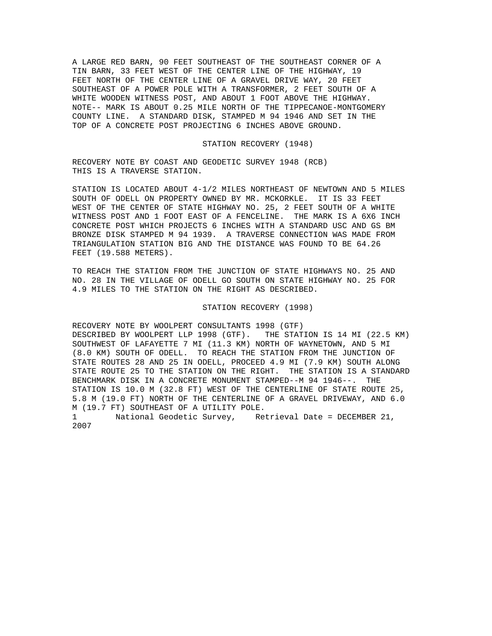A LARGE RED BARN, 90 FEET SOUTHEAST OF THE SOUTHEAST CORNER OF A TIN BARN, 33 FEET WEST OF THE CENTER LINE OF THE HIGHWAY, 19 FEET NORTH OF THE CENTER LINE OF A GRAVEL DRIVE WAY, 20 FEET SOUTHEAST OF A POWER POLE WITH A TRANSFORMER, 2 FEET SOUTH OF A WHITE WOODEN WITNESS POST, AND ABOUT 1 FOOT ABOVE THE HIGHWAY. NOTE-- MARK IS ABOUT 0.25 MILE NORTH OF THE TIPPECANOE-MONTGOMERY COUNTY LINE. A STANDARD DISK, STAMPED M 94 1946 AND SET IN THE TOP OF A CONCRETE POST PROJECTING 6 INCHES ABOVE GROUND.

STATION RECOVERY (1948)

RECOVERY NOTE BY COAST AND GEODETIC SURVEY 1948 (RCB) THIS IS A TRAVERSE STATION.

STATION IS LOCATED ABOUT 4-1/2 MILES NORTHEAST OF NEWTOWN AND 5 MILES SOUTH OF ODELL ON PROPERTY OWNED BY MR. MCKORKLE. IT IS 33 FEET WEST OF THE CENTER OF STATE HIGHWAY NO. 25, 2 FEET SOUTH OF A WHITE WITNESS POST AND 1 FOOT EAST OF A FENCELINE. THE MARK IS A 6X6 INCH CONCRETE POST WHICH PROJECTS 6 INCHES WITH A STANDARD USC AND GS BM BRONZE DISK STAMPED M 94 1939. A TRAVERSE CONNECTION WAS MADE FROM TRIANGULATION STATION BIG AND THE DISTANCE WAS FOUND TO BE 64.26 FEET (19.588 METERS).

TO REACH THE STATION FROM THE JUNCTION OF STATE HIGHWAYS NO. 25 AND NO. 28 IN THE VILLAGE OF ODELL GO SOUTH ON STATE HIGHWAY NO. 25 FOR 4.9 MILES TO THE STATION ON THE RIGHT AS DESCRIBED.

STATION RECOVERY (1998)

RECOVERY NOTE BY WOOLPERT CONSULTANTS 1998 (GTF) DESCRIBED BY WOOLPERT LLP 1998 (GTF). THE STATION IS 14 MI (22.5 KM) SOUTHWEST OF LAFAYETTE 7 MI (11.3 KM) NORTH OF WAYNETOWN, AND 5 MI (8.0 KM) SOUTH OF ODELL. TO REACH THE STATION FROM THE JUNCTION OF STATE ROUTES 28 AND 25 IN ODELL, PROCEED 4.9 MI (7.9 KM) SOUTH ALONG STATE ROUTE 25 TO THE STATION ON THE RIGHT. THE STATION IS A STANDARD BENCHMARK DISK IN A CONCRETE MONUMENT STAMPED--M 94 1946--. THE STATION IS 10.0 M (32.8 FT) WEST OF THE CENTERLINE OF STATE ROUTE 25, 5.8 M (19.0 FT) NORTH OF THE CENTERLINE OF A GRAVEL DRIVEWAY, AND 6.0 M (19.7 FT) SOUTHEAST OF A UTILITY POLE.

1 National Geodetic Survey, Retrieval Date = DECEMBER 21, 2007